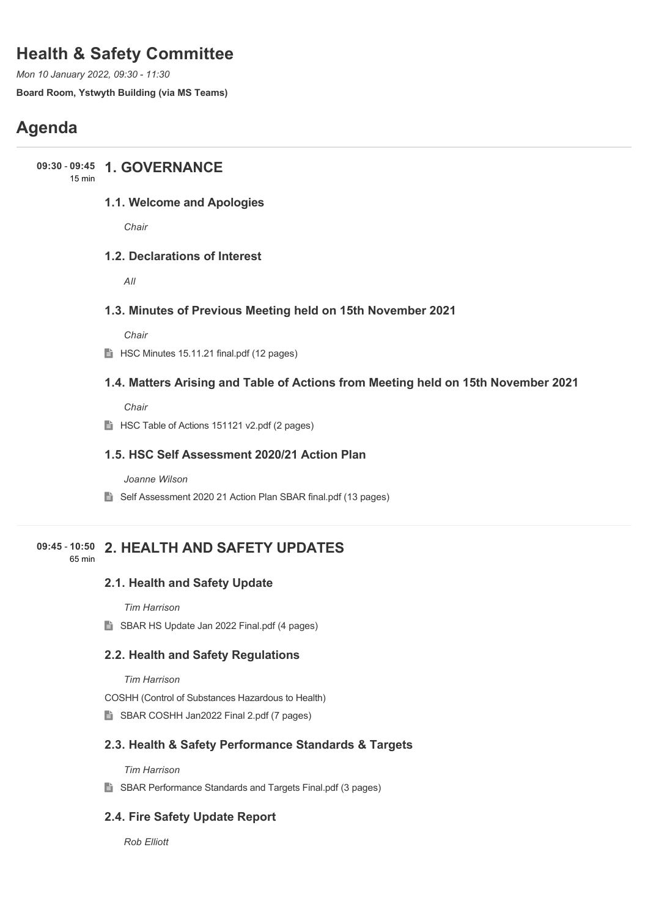# **Health & Safety Committee**

*Mon 10 January 2022, 09:30 - 11:30*

**Board Room, Ystwyth Building (via MS Teams)**

# **Agenda**

## **1. GOVERNANCE 09:30** - **09:45**

15 min

## **1.1. Welcome and Apologies**

*Chair*

## **1.2. Declarations of Interest**

*All*

### **1.3. Minutes of Previous Meeting held on 15th November 2021**

*Chair*

 $\implies$  HSC Minutes 15.11.21 final.pdf (12 pages)

### **1.4. Matters Arising and Table of Actions from Meeting held on 15th November 2021**

*Chair*

**HSC Table of Actions 151121 v2.pdf (2 pages)** 

### **1.5. HSC Self Assessment 2020/21 Action Plan**

*Joanne Wilson*

■ Self Assessment 2020 21 Action Plan SBAR final.pdf (13 pages)

#### **2. HEALTH AND SAFETY UPDATES 09:45** - **10:50** 65 min

#### **2.1. Health and Safety Update**

*Tim Harrison*

SBAR HS Update Jan 2022 Final.pdf (4 pages)

## **2.2. Health and Safety Regulations**

*Tim Harrison*

COSHH (Control of Substances Hazardous to Health)

SBAR COSHH Jan2022 Final 2.pdf (7 pages)

#### **2.3. Health & Safety Performance Standards & Targets**

*Tim Harrison*

■ SBAR Performance Standards and Targets Final.pdf (3 pages)

## **2.4. Fire Safety Update Report**

*Rob Elliott*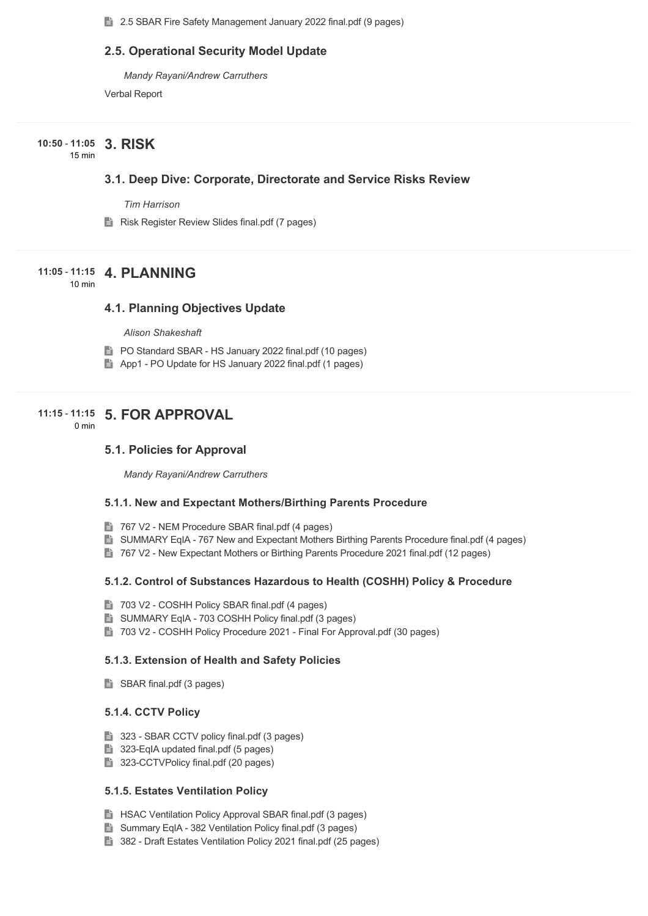■ 2.5 SBAR Fire Safety Management January 2022 final.pdf (9 pages)

#### **2.5. Operational Security Model Update**

*Mandy Rayani/Andrew Carruthers*

Verbal Report

## **3. RISK 10:50** - **11:05**

15 min

#### **3.1. Deep Dive: Corporate, Directorate and Service Risks Review**

*Tim Harrison*

**Risk Register Review Slides final.pdf (7 pages)** 

## **4. PLANNING 11:05** - **11:15**

10 min

#### **4.1. Planning Objectives Update**

*Alison Shakeshaft*

- **PO Standard SBAR HS January 2022 final.pdf (10 pages)**
- App1 PO Update for HS January 2022 final.pdf (1 pages)

## **5. FOR APPROVAL 11:15** - **11:15**

0 min

## **5.1. Policies for Approval**

*Mandy Rayani/Andrew Carruthers*

#### **5.1.1. New and Expectant Mothers/Birthing Parents Procedure**

- 767 V2 NEM Procedure SBAR final.pdf (4 pages)
- **B** SUMMARY EqIA 767 New and Expectant Mothers Birthing Parents Procedure final.pdf (4 pages)
- 767 V2 New Expectant Mothers or Birthing Parents Procedure 2021 final.pdf (12 pages)

#### **5.1.2. Control of Substances Hazardous to Health (COSHH) Policy & Procedure**

- 703 V2 COSHH Policy SBAR final.pdf (4 pages)
- **SUMMARY EqIA 703 COSHH Policy final.pdf (3 pages)**
- 703 V2 COSHH Policy Procedure 2021 Final For Approval.pdf (30 pages)

#### **5.1.3. Extension of Health and Safety Policies**

SBAR final.pdf (3 pages)

#### **5.1.4. CCTV Policy**

- 323 SBAR CCTV policy final.pdf (3 pages)
- 323-EqIA updated final.pdf (5 pages)
- 323-CCTVPolicy final.pdf (20 pages)

#### **5.1.5. Estates Ventilation Policy**

- **HSAC Ventilation Policy Approval SBAR final.pdf (3 pages)**
- Summary EqIA 382 Ventilation Policy final.pdf (3 pages)
- 382 Draft Estates Ventilation Policy 2021 final.pdf (25 pages)